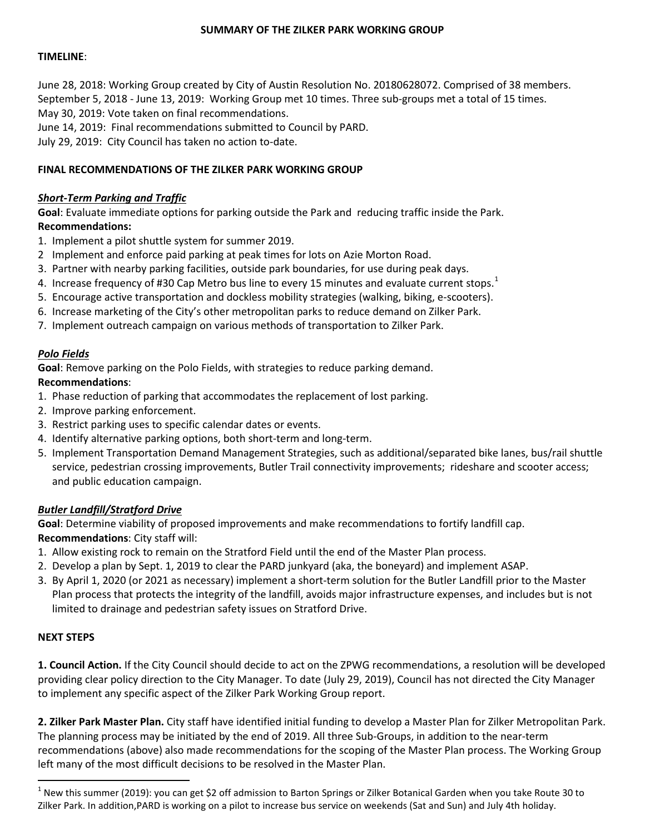#### **SUMMARY OF THE ZILKER PARK WORKING GROUP**

## **TIMELINE**:

June 28, 2018: Working Group created by City of Austin Resolution No. 20180628072. Comprised of 38 members. September 5, 2018 - June 13, 2019: Working Group met 10 times. Three sub-groups met a total of 15 times. May 30, 2019: Vote taken on final recommendations. June 14, 2019: Final recommendations submitted to Council by PARD.

July 29, 2019: City Council has taken no action to-date.

## **FINAL RECOMMENDATIONS OF THE ZILKER PARK WORKING GROUP**

## *Short-Term Parking and Traffic*

**Goal**: Evaluate immediate options for parking outside the Park and reducing traffic inside the Park. **Recommendations:** 

- 1. Implement a pilot shuttle system for summer 2019.
- 2 Implement and enforce paid parking at peak times for lots on Azie Morton Road.
- 3. Partner with nearby parking facilities, outside park boundaries, for use during peak days.
- 4. Increase frequency of #30 Cap Metro bus line to every [1](#page-0-0)5 minutes and evaluate current stops.<sup>1</sup>
- 5. Encourage active transportation and dockless mobility strategies (walking, biking, e-scooters).
- 6. Increase marketing of the City's other metropolitan parks to reduce demand on Zilker Park.
- 7. Implement outreach campaign on various methods of transportation to Zilker Park.

# *Polo Fields*

**Goal**: Remove parking on the Polo Fields, with strategies to reduce parking demand.

## **Recommendations**:

- 1. Phase reduction of parking that accommodates the replacement of lost parking.
- 2. Improve parking enforcement.
- 3. Restrict parking uses to specific calendar dates or events.
- 4. Identify alternative parking options, both short-term and long-term.
- 5. Implement Transportation Demand Management Strategies, such as additional/separated bike lanes, bus/rail shuttle service, pedestrian crossing improvements, Butler Trail connectivity improvements; rideshare and scooter access; and public education campaign.

# *Butler Landfill/Stratford Drive*

**Goal**: Determine viability of proposed improvements and make recommendations to fortify landfill cap. **Recommendations**: City staff will:

- 1. Allow existing rock to remain on the Stratford Field until the end of the Master Plan process.
- 2. Develop a plan by Sept. 1, 2019 to clear the PARD junkyard (aka, the boneyard) and implement ASAP.
- 3. By April 1, 2020 (or 2021 as necessary) implement a short-term solution for the Butler Landfill prior to the Master Plan process that protects the integrity of the landfill, avoids major infrastructure expenses, and includes but is not limited to drainage and pedestrian safety issues on Stratford Drive.

# **NEXT STEPS**

**1. Council Action.** If the City Council should decide to act on the ZPWG recommendations, a resolution will be developed providing clear policy direction to the City Manager. To date (July 29, 2019), Council has not directed the City Manager to implement any specific aspect of the Zilker Park Working Group report.

**2. Zilker Park Master Plan.** City staff have identified initial funding to develop a Master Plan for Zilker Metropolitan Park. The planning process may be initiated by the end of 2019. All three Sub-Groups, in addition to the near-term recommendations (above) also made recommendations for the scoping of the Master Plan process. The Working Group left many of the most difficult decisions to be resolved in the Master Plan.

<span id="page-0-0"></span> $1$  New this summer (2019): you can get \$2 off admission to Barton Springs or Zilker Botanical Garden when you take Route 30 to Zilker Park. In addition,PARD is working on a pilot to increase bus service on weekends (Sat and Sun) and July 4th holiday.